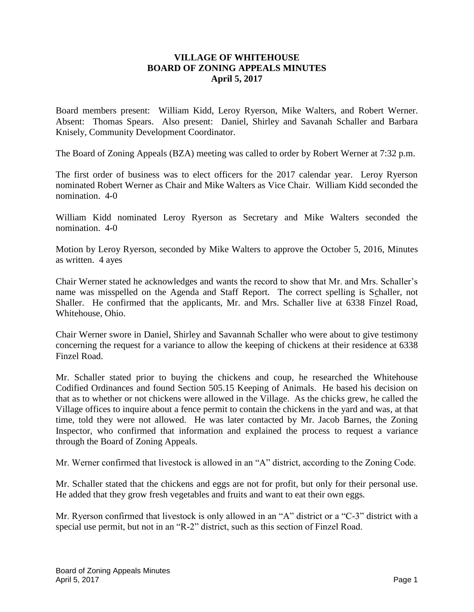## **VILLAGE OF WHITEHOUSE BOARD OF ZONING APPEALS MINUTES April 5, 2017**

Board members present: William Kidd, Leroy Ryerson, Mike Walters, and Robert Werner. Absent: Thomas Spears. Also present: Daniel, Shirley and Savanah Schaller and Barbara Knisely, Community Development Coordinator.

The Board of Zoning Appeals (BZA) meeting was called to order by Robert Werner at 7:32 p.m.

The first order of business was to elect officers for the 2017 calendar year. Leroy Ryerson nominated Robert Werner as Chair and Mike Walters as Vice Chair. William Kidd seconded the nomination. 4-0

William Kidd nominated Leroy Ryerson as Secretary and Mike Walters seconded the nomination. 4-0

Motion by Leroy Ryerson, seconded by Mike Walters to approve the October 5, 2016, Minutes as written. 4 ayes

Chair Werner stated he acknowledges and wants the record to show that Mr. and Mrs. Schaller's name was misspelled on the Agenda and Staff Report. The correct spelling is Schaller, not Shaller. He confirmed that the applicants, Mr. and Mrs. Schaller live at 6338 Finzel Road, Whitehouse, Ohio.

Chair Werner swore in Daniel, Shirley and Savannah Schaller who were about to give testimony concerning the request for a variance to allow the keeping of chickens at their residence at 6338 Finzel Road.

Mr. Schaller stated prior to buying the chickens and coup, he researched the Whitehouse Codified Ordinances and found Section 505.15 Keeping of Animals. He based his decision on that as to whether or not chickens were allowed in the Village. As the chicks grew, he called the Village offices to inquire about a fence permit to contain the chickens in the yard and was, at that time, told they were not allowed. He was later contacted by Mr. Jacob Barnes, the Zoning Inspector, who confirmed that information and explained the process to request a variance through the Board of Zoning Appeals.

Mr. Werner confirmed that livestock is allowed in an "A" district, according to the Zoning Code.

Mr. Schaller stated that the chickens and eggs are not for profit, but only for their personal use. He added that they grow fresh vegetables and fruits and want to eat their own eggs.

Mr. Ryerson confirmed that livestock is only allowed in an "A" district or a "C-3" district with a special use permit, but not in an "R-2" district, such as this section of Finzel Road.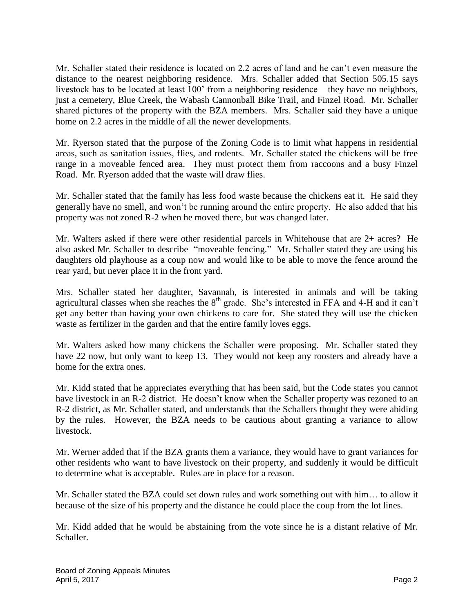Mr. Schaller stated their residence is located on 2.2 acres of land and he can't even measure the distance to the nearest neighboring residence. Mrs. Schaller added that Section 505.15 says livestock has to be located at least 100' from a neighboring residence – they have no neighbors, just a cemetery, Blue Creek, the Wabash Cannonball Bike Trail, and Finzel Road. Mr. Schaller shared pictures of the property with the BZA members. Mrs. Schaller said they have a unique home on 2.2 acres in the middle of all the newer developments.

Mr. Ryerson stated that the purpose of the Zoning Code is to limit what happens in residential areas, such as sanitation issues, flies, and rodents. Mr. Schaller stated the chickens will be free range in a moveable fenced area. They must protect them from raccoons and a busy Finzel Road. Mr. Ryerson added that the waste will draw flies.

Mr. Schaller stated that the family has less food waste because the chickens eat it. He said they generally have no smell, and won't be running around the entire property. He also added that his property was not zoned R-2 when he moved there, but was changed later.

Mr. Walters asked if there were other residential parcels in Whitehouse that are 2+ acres? He also asked Mr. Schaller to describe "moveable fencing." Mr. Schaller stated they are using his daughters old playhouse as a coup now and would like to be able to move the fence around the rear yard, but never place it in the front yard.

Mrs. Schaller stated her daughter, Savannah, is interested in animals and will be taking agricultural classes when she reaches the 8<sup>th</sup> grade. She's interested in FFA and 4-H and it can't get any better than having your own chickens to care for. She stated they will use the chicken waste as fertilizer in the garden and that the entire family loves eggs.

Mr. Walters asked how many chickens the Schaller were proposing. Mr. Schaller stated they have 22 now, but only want to keep 13. They would not keep any roosters and already have a home for the extra ones.

Mr. Kidd stated that he appreciates everything that has been said, but the Code states you cannot have livestock in an R-2 district. He doesn't know when the Schaller property was rezoned to an R-2 district, as Mr. Schaller stated, and understands that the Schallers thought they were abiding by the rules. However, the BZA needs to be cautious about granting a variance to allow livestock.

Mr. Werner added that if the BZA grants them a variance, they would have to grant variances for other residents who want to have livestock on their property, and suddenly it would be difficult to determine what is acceptable. Rules are in place for a reason.

Mr. Schaller stated the BZA could set down rules and work something out with him… to allow it because of the size of his property and the distance he could place the coup from the lot lines.

Mr. Kidd added that he would be abstaining from the vote since he is a distant relative of Mr. Schaller.